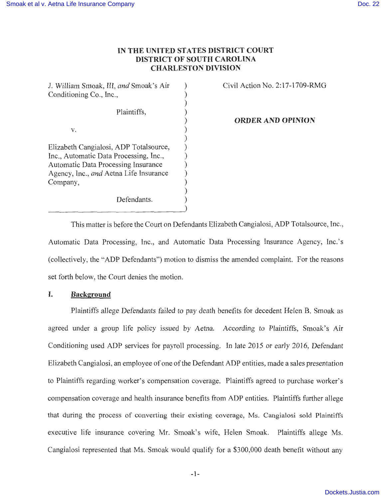# **IN THE UNITED STATES DISTRICT COURT DISTRICT OF SOUTH CAROLINA CHARLESTON DIVISION**

) ) ) ) ) ) ) ) ) ) ) ) ) )

J. William Smoak, III, *and* Smoak's Air Conditioning Co., Inc.,

Plaintiffs,

v.

Elizabeth Cangialosi, ADP Totalsource, Inc., Automatic Data Processing, Inc., Automatic Data Processing Insurance Agency, Inc., *and* Aetna Life Insurance Company,

Defendants.

Civil Action No. 2:17-1709-RMG

**ORDER AND OPINION** 

This matter is before the Court on Defendants Elizabeth Cangialosi, ADP Totalsource, Inc., Automatic Data Processing, Inc., and Automatic Data Processing Insurance Agency, Inc.'s (collectively, the "ADP Defendants") motion to dismiss the amended complaint. For the reasons set forth below, the Court denies the motion.

# **I. Background**

Plaintiffs allege Defendants failed to pay death benefits for decedent Helen B. Smoak as agreed under a group life policy issued by Aetna. According to Plaintiffs, Smoak's Air Conditioning used ADP services for payroll processing. In late 2015 or early 2016, Defendant Elizabeth Cangialosi, an employee of one of the Defendant ADP entities, made a sales presentation to Plaintiffs regarding worker's compensation coverage. Plaintiffs agreed to purchase worker's compensation coverage and health insurance benefits from ADP entities. Plaintiffs further allege that during the process of converting their existing coverage, Ms. Cangialosi sold Plaintiffs executive life insurance covering Mr. Smoak's wife, Helen Smoak. Plaintiffs allege Ms. Cangialosi represented that Ms. Smoak would qualify for a \$300,000 death benefit without any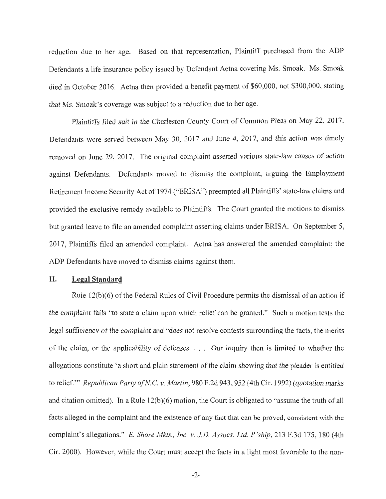reduction due to her age. Based on that representation, Plaintiff purchased from the ADP Defendants a life insurance policy issued by Defendant Aetna covering Ms. Smoak. Ms. Smoak died in October 2016. Aetna then provided a benefit payment of \$60,000, not \$300,000, stating that Ms. Smoak's coverage was subject to a reduction due to her age.

Plaintiffs filed suit in the Charleston County Court of Common Pleas on May 22, 2017. Defendants were served between May 30, 2017 and June 4, 2017, and this action was timely removed on June 29, 2017. The original complaint asserted various state-law causes of action against Defendants. Defendants moved to dismiss the complaint, arguing the Employment Retirement Income Security Act of 1974 ("ERISA") preempted all Plaintiffs' state-law claims and provided the exclusive remedy available to Plaintiffs. The Court granted the motions to dismiss but granted leave to file an amended complaint asserting claims under ERISA. On September 5, 2017, Plaintiffs filed an amended complaint. Aetna has answered the amended complaint; the ADP Defendants have moved to dismiss claims against them.

#### **II. Legal Standard**

Rule 12(b)(6) of the Federal Rules of Civil Procedure permits the dismissal of an action if the complaint fails "to state a claim upon which relief can be granted." Such a motion tests the legal sufficiency of the complaint and "does not resolve contests surrounding the facts, the merits of the claim, or the applicability of defenses. . . . Our inquiry then is limited to whether the allegations constitute 'a short and plain statement of the claim showing that the pleader is entitled to relief. '" *Republican Party of N.* C. *v. Martin,* 980 F.2d 943, 952 (4th Cir. 1992) (quotation marks and citation omitted). In a Rule  $12(b)(6)$  motion, the Court is obligated to "assume the truth of all facts alleged in the complaint and the existence of any fact that can be proved, consistent with the complaint's allegations." E. *Shore Mlcts., Inc. v. JD. Assocs. Ltd. P 'ship,* 213 F.3d 175, 180 (4th Cir. 2000). However, while the Court must accept the facts in a light most favorable to the non-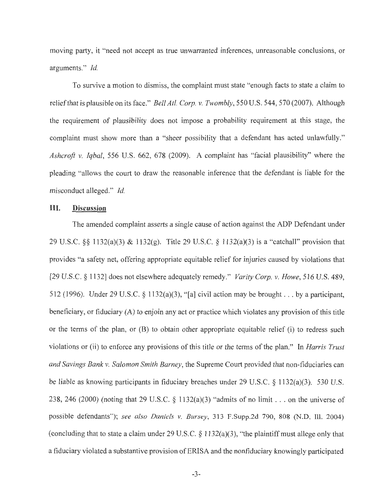moving party, it "need not accept as true unwarranted inferences, unreasonable conclusions, or arguments." *Id.* 

To survive a motion to dismiss, the complaint must state "enough facts to state a claim to relief that is plausible on its face." *Bell Atl. Corp. v. Twombly*, 550 U.S. 544, 570 (2007). Although the requirement of plausibility does not impose a probability requirement at this stage, the complaint must show more than a "sheer possibility that a defendant has acted unlawfully." *Ashcroft v. Iqbal,* 556 U.S. 662, 678 (2009). A complaint has "facial plausibility" where the pleading "allows the court to draw the reasonable inference that the defendant is liable for the misconduct alleged." *Id.* 

### **III. Discussion**

The amended complaint asserts a single cause of action against the ADP Defendant under 29 U.S.C. §§ 1132(a)(3) & 1132(g). Title 29 U.S.C. § 1132(a)(3) is a "catchall" provision that provides "a safety net, offering appropriate equitable relief for injuries caused by violations that [29 U.S.C. § 1132] does not elsewhere adequately remedy." *Varity Corp. v. Howe,* 516 U.S. 489, 512 (1996). Under 29 U.S.C. § 1132(a)(3), " [a] civil action may be brought ... by a participant, beneficiary, or fiduciary (A) to enjoin any act or practice which violates any provision of this title or the terms of the plan, or (B) to obtain other appropriate equitable relief (i) to redress such violations or (ii) to enforce any provisions of this title or the terms of the plan." In *Harris Trust and Savings Bank v. Salomon Smith Barney,* the Supreme Court provided that non-fiduciaries can be liable as knowing participants in fiduciary breaches under 29 U.S.C. § 1132(a)(3). 530 U.S. 238, 246 (2000) (noting that 29 U.S.C. § 1132(a)(3) "admits of no limit ... on the universe of possible defendants"); *see also Daniels v. Bursey,* 313 F.Supp.2d 790, 808 (N.D. Ill. 2004) (concluding that to state a claim under 29 U.S.C.  $\S$  1132(a)(3), "the plaintiff must allege only that a fiduciary violated a substantive provision of ERIS A and the nonfiduciary knowingly participated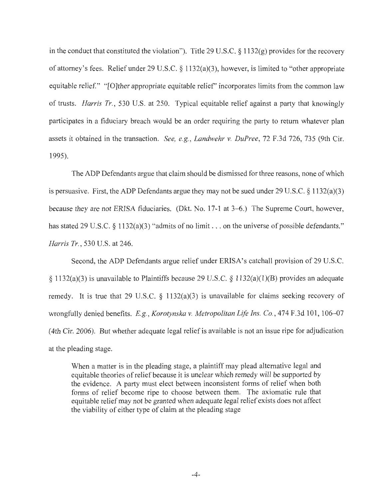in the conduct that constituted the violation"). Title 29 U.S.C. § l 132(g) provides for the recovery of attorney's fees. Relief under 29 U.S.C.  $\S$  1132(a)(3), however, is limited to "other appropriate equitable relief." "[O]ther appropriate equitable relief" incorporates limits from the common law of trusts. *Harris Tr.,* 530 U.S. at 250. Typical equitable relief against a party that knowingly participates in a fiduciary breach would be an order requiring the party to return whatever plan assets it obtained in the transaction. *See, e.g., Landwehr v. DuPree,* 72 F.3d 726, 735 (9th Cir. 1995).

The ADP Defendants argue that claim should be dismissed for three reasons, none of which is persuasive. First, the ADP Defendants argue they may not be sued under 29 U.S.C.  $\S 1132(a)(3)$ because they are not ERISA fiduciaries. (Dkt. No. 17-1 at 3–6.) The Supreme Court, however, has stated 29 U.S.C. § 1132(a)(3) "admits of no limit . . . on the universe of possible defendants." *Harris Tr.,* 530 U.S. at 246.

Second, the ADP Defendants argue relief under ERISA's catchall provision of 29 U.S.C. § 1132(a)(3) is unavailable to Plaintiffs because 29 U.S.C. § 1132(a)(1)(B) provides an adequate remedy. It is true that 29 U.S.C.  $\S$  1132(a)(3) is unavailable for claims seeking recovery of wrongfully denied benefits. *E.g., Korotynska v. Metropolitan Life Ins. Co.*, 474 F.3d 101, 106–07 (4th Cir. 2006). But whether adequate legal relief is available is not an issue ripe for adjudication at the pleading stage.

When a matter is in the pleading stage, a plaintiff may plead alternative legal and equitable theories ofrelief because it is unclear which remedy will be supported by the evidence. A party must elect between inconsistent forms of relief when both forms of relief become ripe to choose between them. The axiomatic rule that equitable relief may not be granted when adequate legal relief exists does not affect the viability of either type of claim at the pleading stage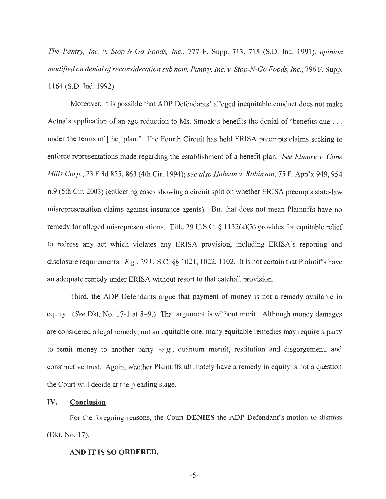*The Pantry, Inc. v. Stop-N-Go Foods, Inc.,* 777 F. Supp. 713, 718 (S.D. Ind. 1991), *opinion modified on denial of reconsideration sub nom. Pantry, Inc. v. Stop-N-Go Foods, Inc., 796 F. Supp.* 1164 (S.D. Ind. 1992).

Moreover, it is possible that ADP Defendants' alleged inequitable conduct does not make Aetna's application of an age reduction to Ms. Smoak's benefits the denial of "benefits due ... under the terms of [the] plan." The Fourth Circuit has held ERISA preempts claims seeking to enforce representations made regarding the establishment of a benefit plan. *See Elmore v. Cone Mills Corp.,* 23 F.3d 855, 863 (4th Cir. 1994); *see also Hobson v. Robinson,* 75 F. App'x 949, 954 n.9 (5th Cir. 2003) (collecting cases showing a circuit split on whether ERISA preempts state-law misrepresentation claims against insurance agents). But that does not mean Plaintiffs have no remedy for alleged misrepresentations. Title 29 U.S.C. § 1132(a)(3) provides for equitable relief to redress any act which violates any ERISA provision, including ERISA's reporting and disclosure requirements. E.g., 29 U.S.C. §§ 1021, 1022, 1102. It is not certain that Plaintiffs have an adequate remedy under ERISA without resort to that catchall provision.

Third, the ADP Defendants argue that payment of money is not a remedy available in equity. *(See Dkt. No. 17-1 at 8-9.)* That argument is without merit. Although money damages are considered a legal remedy, not an equitable one, many equitable remedies may require a party to remit money to another party- $e.g.,$  quantum meruit, restitution and disgorgement, and constructive trust. Again, whether Plaintiffs ultimately have a remedy in equity is not a question the Court will decide at the pleading stage.

# IV. **Conclusion**

For the foregoing reasons, the Court **DENIES** the ADP Defendant's motion to dismiss (Dkt. No. 17).

#### **AND IT IS SO ORDERED.**

-5-